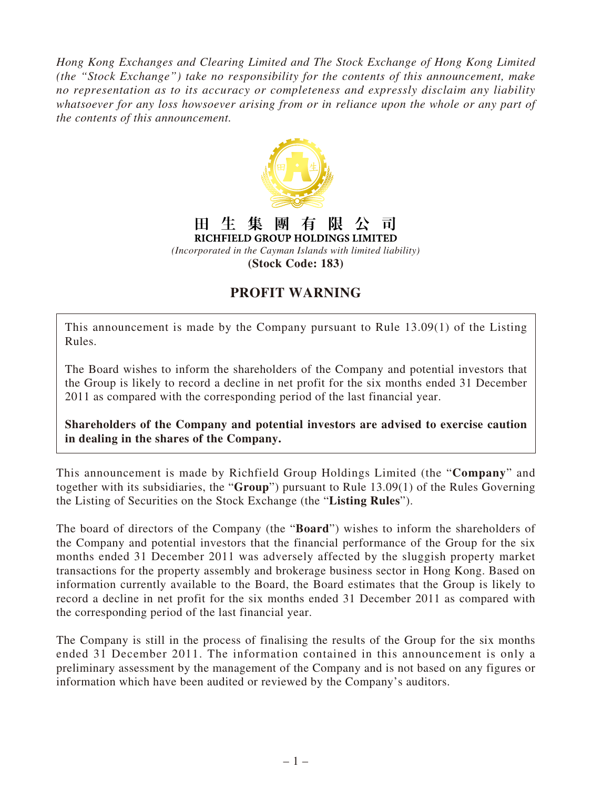*Hong Kong Exchanges and Clearing Limited and The Stock Exchange of Hong Kong Limited (the "Stock Exchange") take no responsibility for the contents of this announcement, make no representation as to its accuracy or completeness and expressly disclaim any liability whatsoever for any loss howsoever arising from or in reliance upon the whole or any part of the contents of this announcement.*



## **PROFIT WARNING**

This announcement is made by the Company pursuant to Rule 13.09(1) of the Listing Rules.

The Board wishes to inform the shareholders of the Company and potential investors that the Group is likely to record a decline in net profit for the six months ended 31 December 2011 as compared with the corresponding period of the last financial year.

**Shareholders of the Company and potential investors are advised to exercise caution in dealing in the shares of the Company.**

This announcement is made by Richfield Group Holdings Limited (the "**Company**" and together with its subsidiaries, the "**Group**") pursuant to Rule 13.09(1) of the Rules Governing the Listing of Securities on the Stock Exchange (the "**Listing Rules**").

The board of directors of the Company (the "**Board**") wishes to inform the shareholders of the Company and potential investors that the financial performance of the Group for the six months ended 31 December 2011 was adversely affected by the sluggish property market transactions for the property assembly and brokerage business sector in Hong Kong. Based on information currently available to the Board, the Board estimates that the Group is likely to record a decline in net profit for the six months ended 31 December 2011 as compared with the corresponding period of the last financial year.

The Company is still in the process of finalising the results of the Group for the six months ended 31 December 2011. The information contained in this announcement is only a preliminary assessment by the management of the Company and is not based on any figures or information which have been audited or reviewed by the Company's auditors.